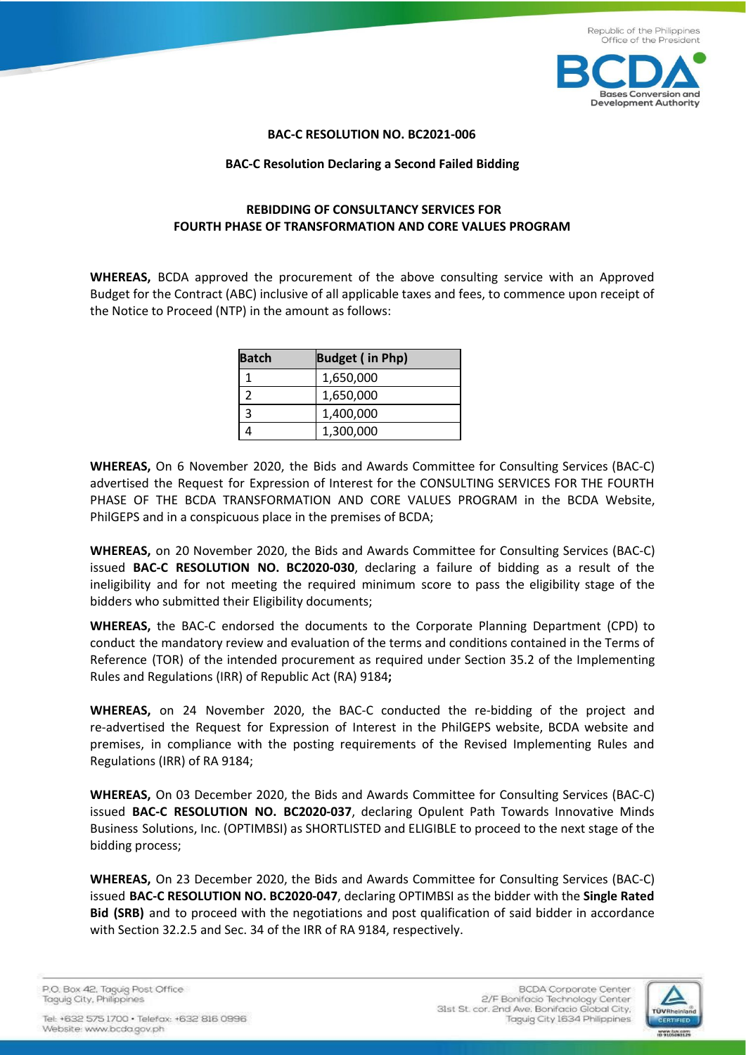

## **BAC-C RESOLUTION NO. BC2021-006**

## **BAC-C Resolution Declaring a Second Failed Bidding**

## **REBIDDING OF CONSULTANCY SERVICES FOR FOURTH PHASE OF TRANSFORMATION AND CORE VALUES PROGRAM**

**WHEREAS,** BCDA approved the procurement of the above consulting service with an Approved Budget for the Contract (ABC) inclusive of all applicable taxes and fees, to commence upon receipt of the Notice to Proceed (NTP) in the amount as follows:

| <b>Batch</b> | <b>Budget (in Php)</b> |
|--------------|------------------------|
|              | 1,650,000              |
|              | 1,650,000              |
|              | 1,400,000              |
|              | 1,300,000              |

**WHEREAS,** On 6 November 2020, the Bids and Awards Committee for Consulting Services (BAC-C) advertised the Request for Expression of Interest for the CONSULTING SERVICES FOR THE FOURTH PHASE OF THE BCDA TRANSFORMATION AND CORE VALUES PROGRAM in the BCDA Website, PhilGEPS and in a conspicuous place in the premises of BCDA;

**WHEREAS,** on 20 November 2020, the Bids and Awards Committee for Consulting Services (BAC-C) issued **BAC-C RESOLUTION NO. BC2020-030**, declaring a failure of bidding as a result of the ineligibility and for not meeting the required minimum score to pass the eligibility stage of the bidders who submitted their Eligibility documents;

**WHEREAS,** the BAC-C endorsed the documents to the Corporate Planning Department (CPD) to conduct the mandatory review and evaluation of the terms and conditions contained in the Terms of Reference (TOR) of the intended procurement as required under Section 35.2 of the Implementing Rules and Regulations (IRR) of Republic Act (RA) 9184**;**

**WHEREAS,** on 24 November 2020, the BAC-C conducted the re-bidding of the project and re-advertised the Request for Expression of Interest in the PhilGEPS website, BCDA website and premises, in compliance with the posting requirements of the Revised Implementing Rules and Regulations (IRR) of RA 9184;

**WHEREAS,** On 03 December 2020, the Bids and Awards Committee for Consulting Services (BAC-C) issued **BAC-C RESOLUTION NO. BC2020-037**, declaring Opulent Path Towards Innovative Minds Business Solutions, Inc. (OPTIMBSI) as SHORTLISTED and ELIGIBLE to proceed to the next stage of the bidding process;

**WHEREAS,** On 23 December 2020, the Bids and Awards Committee for Consulting Services (BAC-C) issued **BAC-C RESOLUTION NO. BC2020-047**, declaring OPTIMBSI as the bidder with the **Single Rated Bid (SRB)** and to proceed with the negotiations and post qualification of said bidder in accordance with Section 32.2.5 and Sec. 34 of the IRR of RA 9184, respectively.

P.O. Box 42. Taguig Post Office Taguig City, Philippines

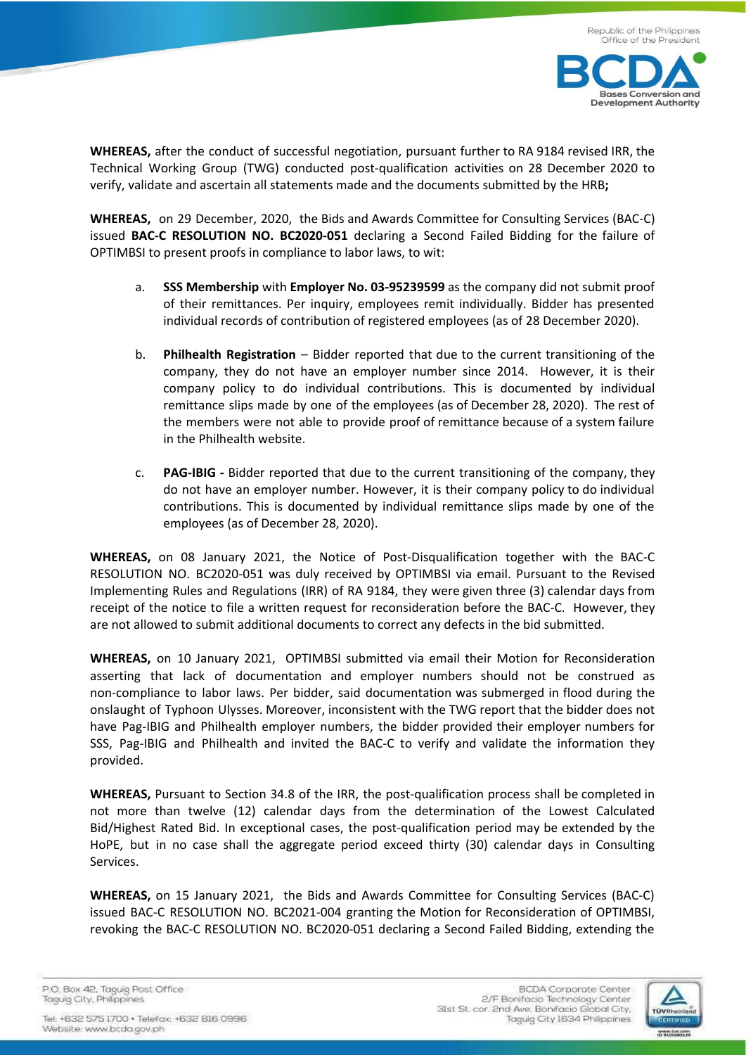

**WHEREAS,** after the conduct of successful negotiation, pursuant further to RA 9184 revised IRR, the Technical Working Group (TWG) conducted post-qualification activities on 28 December 2020 to verify, validate and ascertain all statements made and the documents submitted by the HRB**;**

**WHEREAS,** on 29 December, 2020, the Bids and Awards Committee for Consulting Services (BAC-C) issued **BAC-C RESOLUTION NO. BC2020-051** declaring a Second Failed Bidding for the failure of OPTIMBSI to present proofs in compliance to labor laws, to wit:

- a. **SSS Membership** with **Employer No. 03-95239599** as the company did not submit proof of their remittances. Per inquiry, employees remit individually. Bidder has presented individual records of contribution of registered employees (as of 28 December 2020).
- b. **Philhealth Registration** Bidder reported that due to the current transitioning of the company, they do not have an employer number since 2014. However, it is their company policy to do individual contributions. This is documented by individual remittance slips made by one of the employees (as of December 28, 2020). The rest of the members were not able to provide proof of remittance because of a system failure in the Philhealth website.
- c. **PAG-IBIG -** Bidder reported that due to the current transitioning of the company, they do not have an employer number. However, it is their company policy to do individual contributions. This is documented by individual remittance slips made by one of the employees (as of December 28, 2020).

**WHEREAS,** on 08 January 2021, the Notice of Post-Disqualification together with the BAC-C RESOLUTION NO. BC2020-051 was duly received by OPTIMBSI via email. Pursuant to the Revised Implementing Rules and Regulations (IRR) of RA 9184, they were given three (3) calendar days from receipt of the notice to file a written request for reconsideration before the BAC-C. However, they are not allowed to submit additional documents to correct any defects in the bid submitted.

**WHEREAS,** on 10 January 2021, OPTIMBSI submitted via email their Motion for Reconsideration asserting that lack of documentation and employer numbers should not be construed as non-compliance to labor laws. Per bidder, said documentation was submerged in flood during the onslaught of Typhoon Ulysses. Moreover, inconsistent with the TWG report that the bidder does not have Pag-IBIG and Philhealth employer numbers, the bidder provided their employer numbers for SSS, Pag-IBIG and Philhealth and invited the BAC-C to verify and validate the information they provided.

**WHEREAS,** Pursuant to Section 34.8 of the IRR, the post-qualification process shall be completed in not more than twelve (12) calendar days from the determination of the Lowest Calculated Bid/Highest Rated Bid. In exceptional cases, the post-qualification period may be extended by the HoPE, but in no case shall the aggregate period exceed thirty (30) calendar days in Consulting Services.

**WHEREAS,** on 15 January 2021, the Bids and Awards Committee for Consulting Services (BAC-C) issued BAC-C RESOLUTION NO. BC2021-004 granting the Motion for Reconsideration of OPTIMBSI, revoking the BAC-C RESOLUTION NO. BC2020-051 declaring a Second Failed Bidding, extending the

P.O. Box 42. Taguig Post Office Taguig City, Philippines

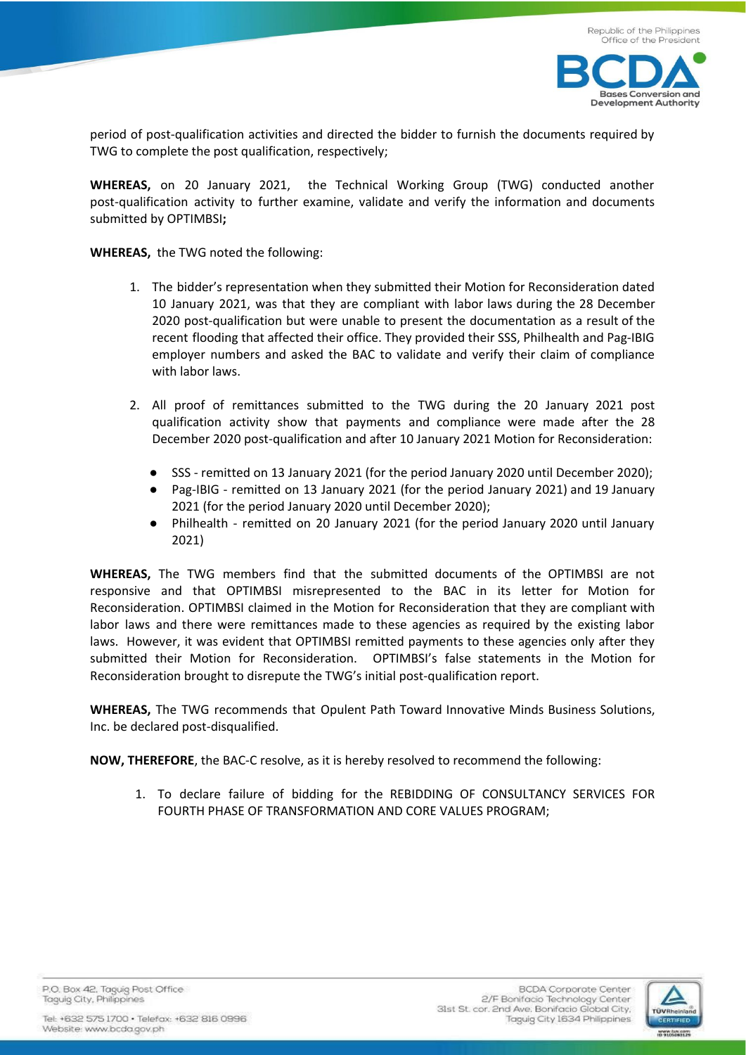



period of post-qualification activities and directed the bidder to furnish the documents required by TWG to complete the post qualification, respectively;

**WHEREAS,** on 20 January 2021, the Technical Working Group (TWG) conducted another post-qualification activity to further examine, validate and verify the information and documents submitted by OPTIMBSI**;**

**WHEREAS,** the TWG noted the following:

- 1. The bidder's representation when they submitted their Motion for Reconsideration dated 10 January 2021, was that they are compliant with labor laws during the 28 December 2020 post-qualification but were unable to present the documentation as a result of the recent flooding that affected their office. They provided their SSS, Philhealth and Pag-IBIG employer numbers and asked the BAC to validate and verify their claim of compliance with labor laws.
- 2. All proof of remittances submitted to the TWG during the 20 January 2021 post qualification activity show that payments and compliance were made after the 28 December 2020 post-qualification and after 10 January 2021 Motion for Reconsideration:
	- SSS remitted on 13 January 2021 (for the period January 2020 until December 2020);
	- Pag-IBIG remitted on 13 January 2021 (for the period January 2021) and 19 January 2021 (for the period January 2020 until December 2020);
	- Philhealth remitted on 20 January 2021 (for the period January 2020 until January 2021)

**WHEREAS,** The TWG members find that the submitted documents of the OPTIMBSI are not responsive and that OPTIMBSI misrepresented to the BAC in its letter for Motion for Reconsideration. OPTIMBSI claimed in the Motion for Reconsideration that they are compliant with labor laws and there were remittances made to these agencies as required by the existing labor laws. However, it was evident that OPTIMBSI remitted payments to these agencies only after they submitted their Motion for Reconsideration. OPTIMBSI's false statements in the Motion for Reconsideration brought to disrepute the TWG's initial post-qualification report.

**WHEREAS,** The TWG recommends that Opulent Path Toward Innovative Minds Business Solutions, Inc. be declared post-disqualified.

**NOW, THEREFORE**, the BAC-C resolve, as it is hereby resolved to recommend the following:

1. To declare failure of bidding for the REBIDDING OF CONSULTANCY SERVICES FOR FOURTH PHASE OF TRANSFORMATION AND CORE VALUES PROGRAM;

P.O. Box 42. Taguig Post Office Taguig City, Philippines